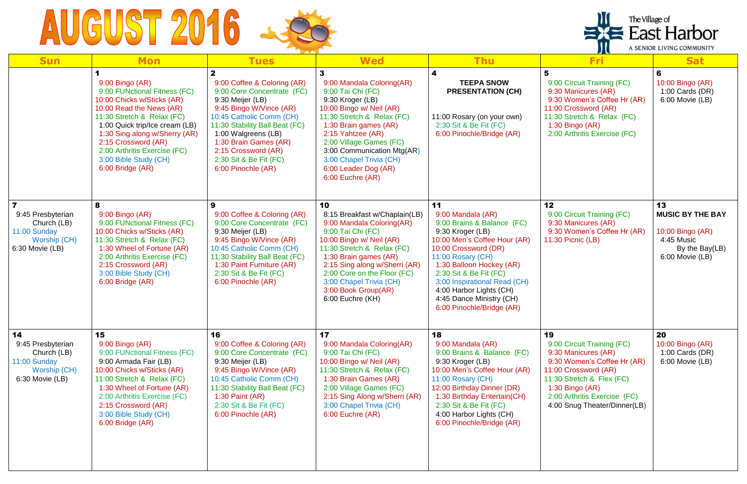## AUGUST 2016

| <b>Sun</b>                                                                                                     | <b>Mon</b>                                                                                                                                                                                                                                                                                                     | <b>Tues</b>                                                                                                                                                                                                                                                                                   | <b>Wed</b>                                                                                                                                                                                                                                                                                                     | <b>Thu</b>                                                                                                                                                                                                                                                                                                                       | <b>Fri</b>                                                                                                                                                                                                                       | <b>Sat</b>                                                                                           |
|----------------------------------------------------------------------------------------------------------------|----------------------------------------------------------------------------------------------------------------------------------------------------------------------------------------------------------------------------------------------------------------------------------------------------------------|-----------------------------------------------------------------------------------------------------------------------------------------------------------------------------------------------------------------------------------------------------------------------------------------------|----------------------------------------------------------------------------------------------------------------------------------------------------------------------------------------------------------------------------------------------------------------------------------------------------------------|----------------------------------------------------------------------------------------------------------------------------------------------------------------------------------------------------------------------------------------------------------------------------------------------------------------------------------|----------------------------------------------------------------------------------------------------------------------------------------------------------------------------------------------------------------------------------|------------------------------------------------------------------------------------------------------|
|                                                                                                                | 9:00 Bingo (AR)<br>9:00 FUNctional Fitness (FC)<br>10:00 Chicks w/Sticks (AR)<br>10:00 Read the News (AR)<br>11:30 Stretch & Relax (FC)<br>1:00 Quick trip/Ice cream (LB)<br>1:30 Sing along w/Sherry (AR)<br>2:15 Crossword (AR)<br>2:00 Arthritis Exercise (FC)<br>3:00 Bible Study (CH)<br>6:00 Bridge (AR) | 9:00 Coffee & Coloring (AR)<br>9:00 Core Concentrate (FC)<br>9:30 Meijer (LB)<br>9:45 Bingo W/Vince (AR)<br>10:45 Catholic Comm (CH)<br>11:30 Stability Ball Beat (FC)<br>1:00 Walgreens (LB)<br>1:30 Brain Games (AR)<br>2:15 Crossword (AR)<br>2:30 Sit & Be Fit (FC)<br>6:00 Pinochle (AR) | 9:00 Mandala Coloring(AR)<br>9:00 Tai Chi (FC)<br>9:30 Kroger (LB)<br>10:00 Bingo w/ Neil (AR)<br>11:30 Stretch & Relax (FC)<br>1:30 Brain games (AR)<br>2:15 Yahtzee (AR)<br>2:00 Village Games (FC)<br>3:00 Communication Mtg(AR)<br>3:00 Chapel Trivia (CH)<br>6:00 Leader Dog (AR)<br>6:00 Euchre (AR)     | 4<br><b>TEEPA SNOW</b><br><b>PRESENTATION (CH)</b><br>11:00 Rosary (on your own)<br>2:30 Sit & Be Fit (FC)<br>6:00 Pinochle/Bridge (AR)                                                                                                                                                                                          | 9:00 Circuit Training (FC)<br>9:30 Manicures (AR)<br>9:30 Women's Coffee Hr (AR)<br>11:00 Crossword (AR)<br>11:30 Stretch & Relax (FC)<br>$1:30$ Bingo (AR)<br>2:00 Arthritis Exercise (FC)                                      | 6<br>10:00 Bingo (AR)<br>1:00 Cards $(DR)$<br>6:00 Movie (LB)                                        |
| $\overline{\mathbf{z}}$<br>9:45 Presbyterian<br>Church (LB)<br>11:00 Sunday<br>Worship (CH)<br>6:30 Movie (LB) | 8<br>9:00 Bingo (AR)<br>9:00 FUNctional Fitness (FC)<br>10:00 Chicks w/Sticks (AR)<br>11:30 Stretch & Relax (FC)<br>1:30 Wheel of Fortune (AR)<br>2:00 Arthritis Exercise (FC)<br>2:15 Crossword (AR)<br>3:00 Bible Study (CH)<br>6:00 Bridge (AR)                                                             | 9<br>9:00 Coffee & Coloring (AR)<br>9:00 Core Concentrate (FC)<br>9:30 Meijer (LB)<br>9:45 Bingo W/Vince (AR)<br>10:45 Catholic Comm (CH)<br>11:30 Stability Ball Beat (FC)<br>1:30 Paint Furniture (AR)<br>2:30 Sit & Be Fit (FC)<br>6:00 Pinochle (AR)                                      | 10<br>8:15 Breakfast w/Chaplain(LB)<br>9:00 Mandala Coloring(AR)<br>9:00 Tai Chi (FC)<br>10:00 Bingo w/ Neil (AR)<br>11:30 Stretch & Relax (FC)<br>1:30 Brain games (AR)<br>2:15 Sing along w/Sherri (AR)<br>2:00 Core on the Floor (FC)<br>3:00 Chapel Trivia (CH)<br>3:00 Book Group(AR)<br>6:00 Euchre (KH) | 11<br>9:00 Mandala (AR)<br>9:00 Brains & Balance (FC)<br>9:30 Kroger (LB)<br>10:00 Men's Coffee Hour (AR)<br>10:00 Crossword (DR)<br>11:00 Rosary (CH)<br>1:30 Balloon Hockey (AR)<br>2:30 Sit & Be Fit (FC)<br>3:00 Inspirational Read (CH)<br>4:00 Harbor Lights (CH)<br>4:45 Dance Ministry (CH)<br>6:00 Pinochle/Bridge (AR) | 12<br>9:00 Circuit Training (FC)<br>9:30 Manicures (AR)<br>9:30 Women's Coffee Hr (AR)<br>11:30 Picnic (LB)                                                                                                                      | 13<br><b>MUSIC BY THE BAY</b><br>10:00 Bingo (AR)<br>4:45 Music<br>By the Bay(LB)<br>6:00 Movie (LB) |
| 14<br>9:45 Presbyterian<br>Church (LB)<br>11:00 Sunday<br>Worship (CH)<br>6:30 Movie (LB)                      | 15<br>$9:00$ Bingo $(AR)$<br>9:00 FUNctional Fitness (FC)<br>9:00 Armada Fair (LB)<br>10:00 Chicks w/Sticks (AR)<br>11:00 Stretch & Relax (FC)<br>1:30 Wheel of Fortune (AR)<br>2:00 Arthritis Exercise (FC)<br>2:15 Crossword (AR)<br>3:00 Bible Study (CH)<br>6:00 Bridge (AR)                               | 16<br>9:00 Coffee & Coloring (AR)<br>9:00 Core Concentrate (FC)<br>9:30 Meijer (LB)<br>9:45 Bingo W/Vince (AR)<br>10:45 Catholic Comm (CH)<br>11:30 Stability Ball Beat (FC)<br>1:30 Paint (AR)<br>2:30 Sit & Be Fit (FC)<br>6:00 Pinochle (AR)                                               | 17<br>9:00 Mandala Coloring(AR)<br>9:00 Tai Chi (FC)<br>10:00 Bingo w/ Neil (AR)<br>11:30 Stretch & Relax (FC)<br>1:30 Brain Games (AR)<br>2:00 Village Games (FC)<br>2:15 Sing Along w/Sherri (AR)<br>3:00 Chapel Trivia (CH)<br>6:00 Euchre (AR)                                                             | 18<br>9:00 Mandala (AR)<br>9:00 Brains & Balance (FC)<br>9:30 Kroger (LB)<br>10:00 Men's Coffee Hour (AR)<br>11:00 Rosary (CH)<br>12:00 Birthday Dinner (DR)<br>1:30 Birthday Entertain(CH)<br>2:30 Sit & Be Fit (FC)<br>4:00 Harbor Lights (CH)<br>6:00 Pinochle/Bridge (AR)                                                    | 19<br>9:00 Circuit Training (FC)<br>9:30 Manicures (AR)<br>9:30 Women's Coffee Hr (AR)<br>11:00 Crossword (AR)<br>11:30 Stretch & Flex (FC)<br>1:30 Bingo $(AR)$<br>2:00 Arthritis Exercise (FC)<br>4:00 Snug Theater/Dinner(LB) | 20<br>10:00 Bingo (AR)<br>1:00 Cards $(DR)$<br>6:00 Movie (LB)                                       |

| The Village of               |
|------------------------------|
| $\blacktriangle$ East Harbor |

A SENIOR LIVING COMMUNITY